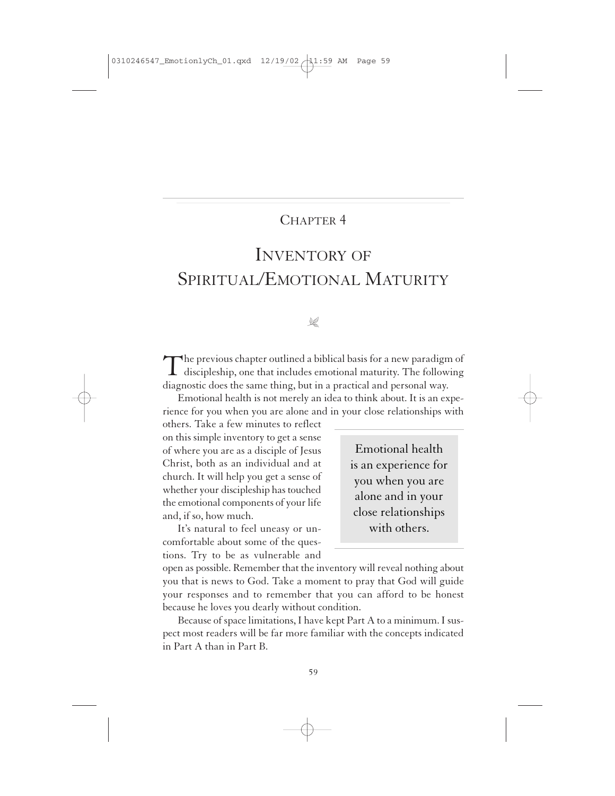# CHAPTER 4

# INVENTORY OF SPIRITUAL/EMOTIONAL MATURITY

# $\mathbb{R}$

The previous chapter outlined a biblical basis for a new paradigm of discipleship, one that includes emotional maturity. The following diagnostic does the same thing, but in a practical and personal way.

Emotional health is not merely an idea to think about. It is an experience for you when you are alone and in your close relationships with

others. Take a few minutes to reflect on this simple inventory to get a sense of where you are as a disciple of Jesus Christ, both as an individual and at church. It will help you get a sense of whether your discipleship has touched the emotional components of your life and, if so, how much.

It's natural to feel uneasy or uncomfortable about some of the questions. Try to be as vulnerable and

Emotional health is an experience for you when you are alone and in your close relationships with others.

open as possible. Remember that the inventory will reveal nothing about you that is news to God. Take a moment to pray that God will guide your responses and to remember that you can afford to be honest because he loves you dearly without condition.

Because of space limitations, I have kept Part A to a minimum. I suspect most readers will be far more familiar with the concepts indicated in Part A than in Part B.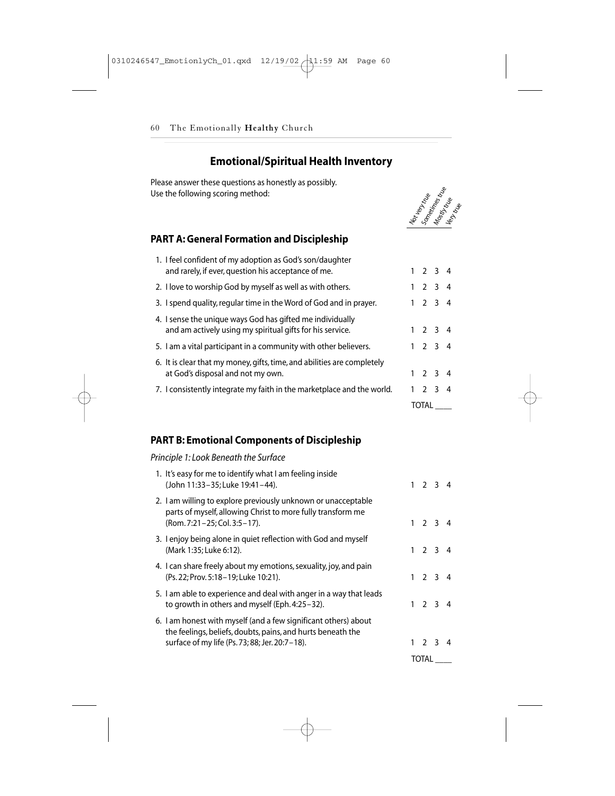# **Emotional/Spiritual Health Inventory**

Please answer these questions as honestly as possibly. Use the following scoring method:



## **PART A: General Formation and Discipleship**

|                                                                                                                        | TOTAL       |                 |    |
|------------------------------------------------------------------------------------------------------------------------|-------------|-----------------|----|
| 7. I consistently integrate my faith in the marketplace and the world.                                                 | $1 \t2 \t3$ |                 | -4 |
| 6. It is clear that my money, gifts, time, and abilities are completely<br>at God's disposal and not my own.           |             | $1 \t2 \t3 \t4$ |    |
| 5. I am a vital participant in a community with other believers.                                                       |             | $1 \t2 \t3 \t4$ |    |
| 4. I sense the unique ways God has gifted me individually<br>and am actively using my spiritual gifts for his service. |             | $1 \t2 \t3 \t4$ |    |
| 3. I spend quality, regular time in the Word of God and in prayer.                                                     |             | $1 \t2 \t3 \t4$ |    |
| 2. I love to worship God by myself as well as with others.                                                             |             | $1 \t2 \t3 \t4$ |    |
| 1. I feel confident of my adoption as God's son/daughter<br>and rarely, if ever, question his acceptance of me.        |             | $1 \t2 \t3 \t4$ |    |

### **PART B: Emotional Components of Discipleship**

#### *Principle 1: Look Beneath the Surface*

|                                                                                                                                                                                  |  | TOTAL           |  |
|----------------------------------------------------------------------------------------------------------------------------------------------------------------------------------|--|-----------------|--|
| 6. I am honest with myself (and a few significant others) about<br>the feelings, beliefs, doubts, pains, and hurts beneath the<br>surface of my life (Ps. 73; 88; Jer. 20:7-18). |  | $1 \t2 \t3 \t4$ |  |
| 5. I am able to experience and deal with anger in a way that leads<br>to growth in others and myself (Eph. 4:25–32).                                                             |  | $1 \t2 \t3 \t4$ |  |
| 4. I can share freely about my emotions, sexuality, joy, and pain<br>(Ps. 22; Prov. 5:18–19; Luke 10:21).                                                                        |  | $1 \t2 \t3 \t4$ |  |
| 3. I enjoy being alone in quiet reflection with God and myself<br>(Mark 1:35; Luke 6:12).                                                                                        |  | $1 \t2 \t3 \t4$ |  |
| 2. I am willing to explore previously unknown or unacceptable<br>parts of myself, allowing Christ to more fully transform me<br>(Rom. 7:21-25; Col. 3:5-17).                     |  | $1 \t2 \t3 \t4$ |  |
| 1. It's easy for me to identify what I am feeling inside<br>(John 11:33-35; Luke 19:41-44).                                                                                      |  | $1 \t2 \t3 \t4$ |  |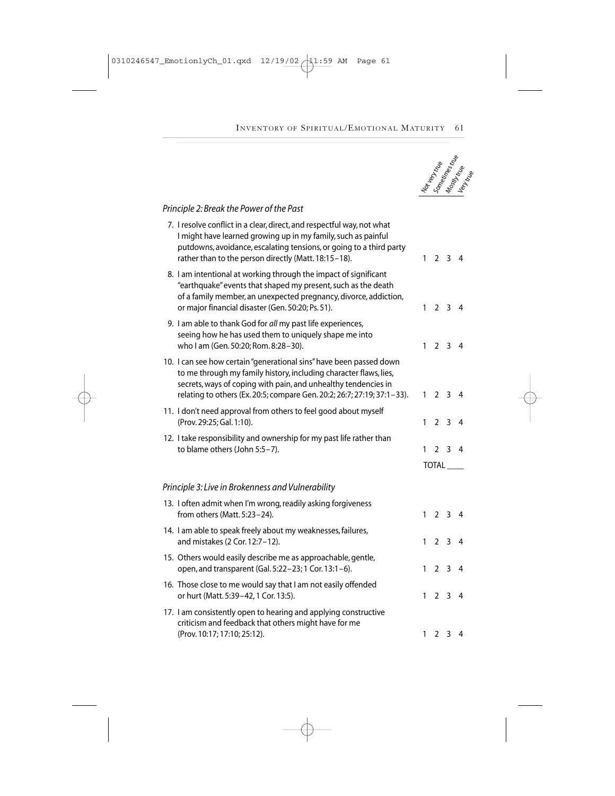

#### *Principle 2: Break the Power of the Past*

| 7. I resolve conflict in a clear, direct, and respectful way, not what<br>I might have learned growing up in my family, such as painful<br>putdowns, avoidance, escalating tensions, or going to a third party<br>rather than to the person directly (Matt. 18:15-18).                |              | $1 \t2 \t3 \t4$     |  |
|---------------------------------------------------------------------------------------------------------------------------------------------------------------------------------------------------------------------------------------------------------------------------------------|--------------|---------------------|--|
| 8. I am intentional at working through the impact of significant<br>"earthquake" events that shaped my present, such as the death<br>of a family member, an unexpected pregnancy, divorce, addiction,<br>or major financial disaster (Gen. 50:20; Ps. 51).                            |              | $1 \t2 \t3 \t4$     |  |
| 9. I am able to thank God for all my past life experiences,<br>seeing how he has used them to uniquely shape me into<br>who I am (Gen. 50:20; Rom. 8:28-30).                                                                                                                          | $\mathbf{1}$ | $2 \t3 \t4$         |  |
| 10. I can see how certain "generational sins" have been passed down<br>to me through my family history, including character flaws, lies,<br>secrets, ways of coping with pain, and unhealthy tendencies in<br>relating to others (Ex. 20:5; compare Gen. 20:2; 26:7; 27:19; 37:1-33). | 1            | $2 \quad 3 \quad 4$ |  |
| 11. I don't need approval from others to feel good about myself<br>(Prov. 29:25; Gal. 1:10).                                                                                                                                                                                          | 1            | $2 \quad 3 \quad 4$ |  |
| 12. I take responsibility and ownership for my past life rather than<br>to blame others (John 5:5-7).                                                                                                                                                                                 | 1            | $2 \t3 \t4$         |  |
|                                                                                                                                                                                                                                                                                       |              | <b>TOTAL</b>        |  |
| Principle 3: Live in Brokenness and Vulnerability                                                                                                                                                                                                                                     |              |                     |  |
| 13. I often admit when I'm wrong, readily asking forgiveness<br>from others (Matt. 5:23-24).                                                                                                                                                                                          | $\mathbf{1}$ | $2 \quad 3 \quad 4$ |  |
| 14. I am able to speak freely about my weaknesses, failures,<br>and mistakes (2 Cor. 12:7-12).                                                                                                                                                                                        | $\mathbf{1}$ | $2 \t3 \t4$         |  |
| 15. Others would easily describe me as approachable, gentle,<br>open, and transparent (Gal. 5:22-23; 1 Cor. 13:1-6).                                                                                                                                                                  | 1            | $2 \quad 3 \quad 4$ |  |
| 16. Those close to me would say that I am not easily offended<br>or hurt (Matt. 5:39-42, 1 Cor. 13:5).                                                                                                                                                                                | 1            | $2 \t3 \t4$         |  |
| 17. I am consistently open to hearing and applying constructive<br>criticism and feedback that others might have for me<br>(Prov. 10:17; 17:10; 25:12).                                                                                                                               | 1            | $2 \quad 3 \quad 4$ |  |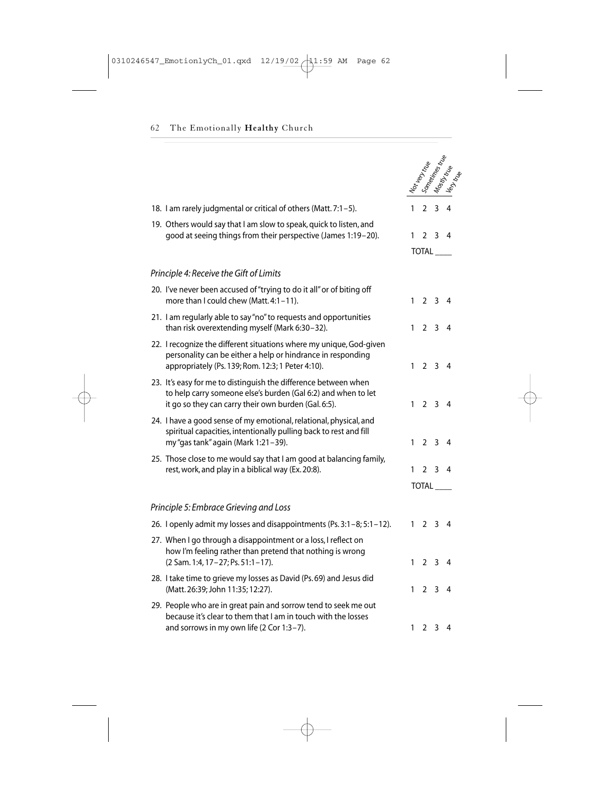|                                                                                                                                                                                          |              |                   |                         | Nor top triple |
|------------------------------------------------------------------------------------------------------------------------------------------------------------------------------------------|--------------|-------------------|-------------------------|----------------|
| 18. I am rarely judgmental or critical of others (Matt. 7:1-5).                                                                                                                          | 1            | $\overline{2}$    | $\overline{\mathbf{3}}$ | $\overline{4}$ |
| 19. Others would say that I am slow to speak, quick to listen, and<br>good at seeing things from their perspective (James 1:19-20).                                                      | 1            | $\overline{2}$    | $\overline{\mathbf{3}}$ | $\overline{4}$ |
|                                                                                                                                                                                          |              | TOTAL             |                         |                |
| Principle 4: Receive the Gift of Limits                                                                                                                                                  |              |                   |                         |                |
| 20. I've never been accused of "trying to do it all" or of biting off<br>more than I could chew (Matt. 4:1-11).                                                                          | $\mathbf{1}$ |                   | 2 <sub>3</sub>          | 4              |
| 21. I am regularly able to say "no" to requests and opportunities<br>than risk overextending myself (Mark 6:30-32).                                                                      | $\mathbf{1}$ |                   | 2 <sub>3</sub>          | 4              |
| 22. I recognize the different situations where my unique, God-given<br>personality can be either a help or hindrance in responding<br>appropriately (Ps. 139; Rom. 12:3; 1 Peter 4:10).  |              | $1\quad 2\quad 3$ |                         | 4              |
| 23. It's easy for me to distinguish the difference between when<br>to help carry someone else's burden (Gal 6:2) and when to let<br>it go so they can carry their own burden (Gal. 6:5). | $\mathbf{1}$ |                   | 2 <sub>3</sub>          | $\overline{4}$ |
| 24. I have a good sense of my emotional, relational, physical, and<br>spiritual capacities, intentionally pulling back to rest and fill<br>my "gas tank" again (Mark 1:21-39).           | $\mathbf{1}$ |                   | 2 <sub>3</sub>          | 4              |
| 25. Those close to me would say that I am good at balancing family,<br>rest, work, and play in a biblical way (Ex. 20:8).                                                                | 1            | $\mathcal{P}$     | 3                       | 4              |
|                                                                                                                                                                                          |              | TOTAL             |                         |                |
| Principle 5: Embrace Grieving and Loss                                                                                                                                                   |              |                   |                         |                |
| 26. I openly admit my losses and disappointments (Ps. 3:1–8; 5:1–12).                                                                                                                    | $\mathbf{1}$ |                   | 2 <sub>3</sub>          | 4              |
| 27. When I go through a disappointment or a loss, I reflect on<br>how I'm feeling rather than pretend that nothing is wrong<br>(2 Sam. 1:4, 17-27; Ps. 51:1-17).                         | 1            | $\overline{2}$    | $\overline{\mathbf{3}}$ | 4              |
| 28. I take time to grieve my losses as David (Ps. 69) and Jesus did<br>(Matt. 26:39; John 11:35; 12:27).                                                                                 | 1            | $\overline{2}$    | 3                       | 4              |
| 29. People who are in great pain and sorrow tend to seek me out<br>because it's clear to them that I am in touch with the losses<br>and sorrows in my own life (2 Cor 1:3-7).            | 1            | 2 <sub>3</sub>    |                         | $\overline{4}$ |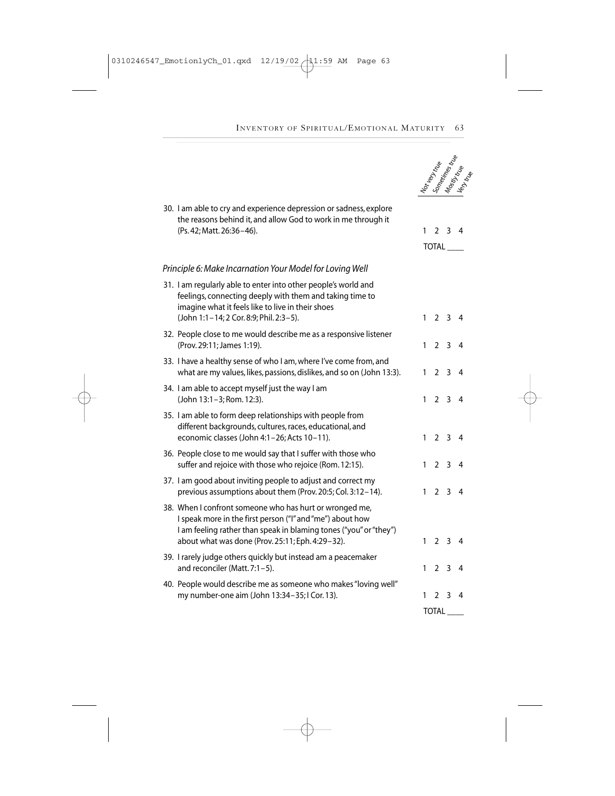**Notes**<br>Sometimes true<br>Mostly true<br>Very true

|  | 30. I am able to cry and experience depression or sadness, explore<br>the reasons behind it, and allow God to work in me through it<br>(Ps. 42; Matt. 26:36-46).                                                                              | $\mathbf{1}$ |                 | $2 \t3 \t4$         |                |  |  |
|--|-----------------------------------------------------------------------------------------------------------------------------------------------------------------------------------------------------------------------------------------------|--------------|-----------------|---------------------|----------------|--|--|
|  |                                                                                                                                                                                                                                               |              | TOTAL           |                     |                |  |  |
|  | Principle 6: Make Incarnation Your Model for Loving Well                                                                                                                                                                                      |              |                 |                     |                |  |  |
|  | 31. I am regularly able to enter into other people's world and<br>feelings, connecting deeply with them and taking time to<br>imagine what it feels like to live in their shoes<br>(John 1:1-14; 2 Cor. 8:9; Phil. 2:3-5).                    | 1            |                 | $2 \t3 \t4$         |                |  |  |
|  | 32. People close to me would describe me as a responsive listener<br>(Prov. 29:11; James 1:19).                                                                                                                                               | $\mathbf{1}$ | 2 <sub>3</sub>  |                     | $\overline{4}$ |  |  |
|  | 33. I have a healthy sense of who I am, where I've come from, and<br>what are my values, likes, passions, dislikes, and so on (John 13:3).                                                                                                    | $\mathbf{1}$ | 2 <sub>3</sub>  |                     | $\overline{4}$ |  |  |
|  | 34. I am able to accept myself just the way I am<br>(John 13:1-3; Rom. 12:3).                                                                                                                                                                 |              | $1 \t2 \t3 \t4$ |                     |                |  |  |
|  | 35. I am able to form deep relationships with people from<br>different backgrounds, cultures, races, educational, and<br>economic classes (John 4:1-26; Acts 10-11).                                                                          | 1            |                 | $2 \t3 \t4$         |                |  |  |
|  | 36. People close to me would say that I suffer with those who<br>suffer and rejoice with those who rejoice (Rom. 12:15).                                                                                                                      | $\mathbf{1}$ | 2 <sub>3</sub>  |                     | 4              |  |  |
|  | 37. I am good about inviting people to adjust and correct my<br>previous assumptions about them (Prov. 20:5; Col. 3:12-14).                                                                                                                   | $\mathbf{1}$ | 2 <sub>3</sub>  |                     | $\overline{4}$ |  |  |
|  | 38. When I confront someone who has hurt or wronged me,<br>I speak more in the first person ("I" and "me") about how<br>I am feeling rather than speak in blaming tones ("you" or "they")<br>about what was done (Prov. 25:11; Eph. 4:29-32). | $\mathbf{1}$ |                 | $2 \quad 3 \quad 4$ |                |  |  |
|  | 39. I rarely judge others quickly but instead am a peacemaker<br>and reconciler (Matt. 7:1-5).                                                                                                                                                | 1            | $\overline{2}$  | $3 \quad 4$         |                |  |  |
|  | 40. People would describe me as someone who makes "loving well"<br>my number-one aim (John 13:34-35; I Cor. 13).                                                                                                                              | 1            | 2 <sub>3</sub>  |                     | $\overline{4}$ |  |  |
|  |                                                                                                                                                                                                                                               |              | <b>TOTAL</b>    |                     |                |  |  |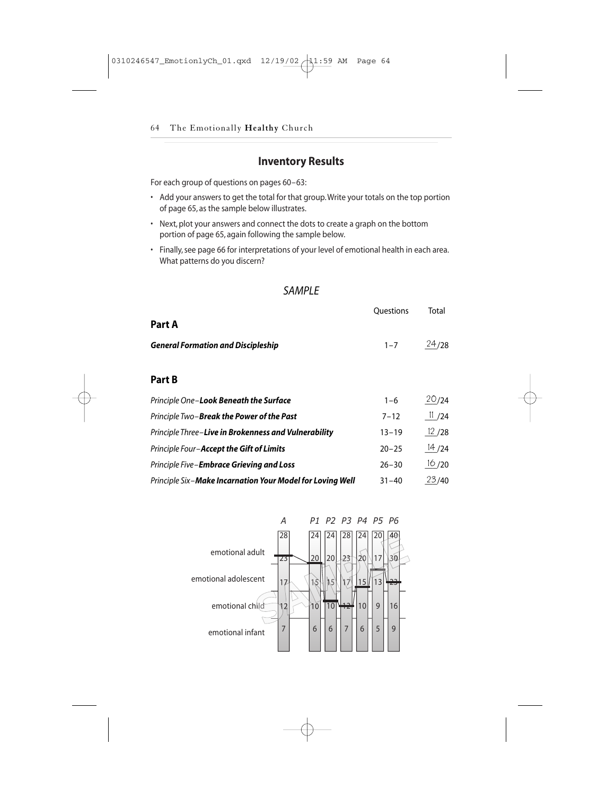# **Inventory Results**

- Add your answers to get the total for that group.Write your totals on the top portion of page 65, as the sample below illustrates.
- Next, plot your answers and connect the dots to create a graph on the bottom portion of page 65, again following the sample below.
- Finally, see page 66 for interpretations of your level of emotional health in each area. What patterns do you discern?

#### *SAMPLE*

| <b>Inventory Results</b>                                                                                                                                                             |                  |
|--------------------------------------------------------------------------------------------------------------------------------------------------------------------------------------|------------------|
| For each group of questions on pages 60-63:                                                                                                                                          |                  |
| • Add your answers to get the total for that group. Write your totals on the top portion<br>of page 65, as the sample below illustrates.                                             |                  |
| • Next, plot your answers and connect the dots to create a graph on the bottom                                                                                                       |                  |
| portion of page 65, again following the sample below.<br>• Finally, see page 66 for interpretations of your level of emotional health in each area.<br>What patterns do you discern? |                  |
|                                                                                                                                                                                      |                  |
| <b>SAMPLE</b>                                                                                                                                                                        |                  |
| Part A                                                                                                                                                                               | <b>Ouestions</b> |
| <b>General Formation and Discipleship</b>                                                                                                                                            | $1 - 7$          |
|                                                                                                                                                                                      |                  |
| Part B                                                                                                                                                                               |                  |
| Principle One-Look Beneath the Surface                                                                                                                                               | $1 - 6$          |
| Principle Two-Break the Power of the Past                                                                                                                                            | $7 - 12$         |
| Principle Three-Live in Brokenness and Vulnerability                                                                                                                                 | $13 - 19$        |
| Principle Four-Accept the Gift of Limits                                                                                                                                             | $20 - 25$        |
| Principle Five-Embrace Grieving and Loss                                                                                                                                             | $26 - 30$        |

| Principle Three-Live in Brokenness and Vulnerability      | $13 - 19$ | 12/28 |
|-----------------------------------------------------------|-----------|-------|
| Principle Four-Accept the Gift of Limits                  | $20 - 25$ | 14/24 |
| Principle Five-Embrace Grieving and Loss                  | $26 - 30$ | 16/20 |
| Principle Six-Make Incarnation Your Model for Loving Well | $31 - 40$ | 23/40 |

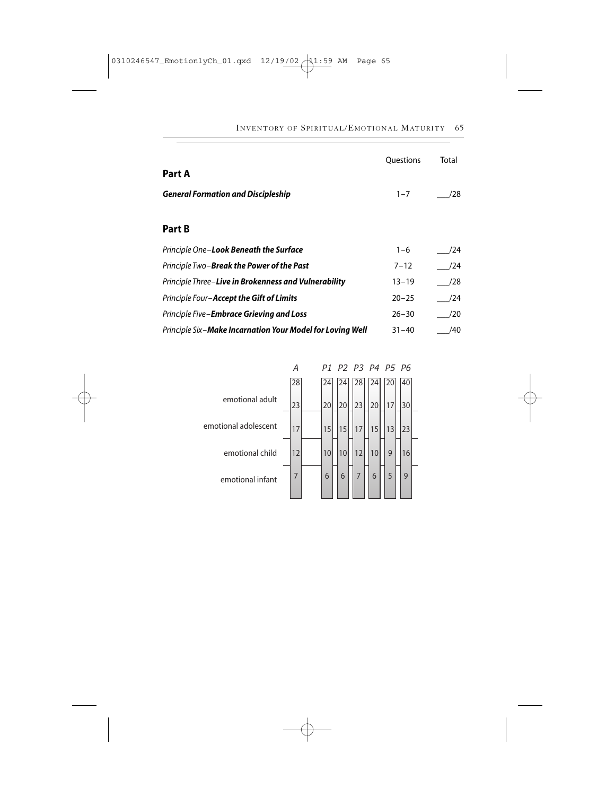|                                                           | <b>Ouestions</b> | Total |
|-----------------------------------------------------------|------------------|-------|
| Part A                                                    |                  |       |
| <b>General Formation and Discipleship</b>                 | $1 - 7$          | /28   |
|                                                           |                  |       |
| Part B                                                    |                  |       |
| Principle One- <b>Look Beneath the Surface</b>            | $1 - 6$          | /24   |
| Principle Two- <b>Break the Power of the Past</b>         | $7 - 12$         | /24   |
| Principle Three-Live in Brokenness and Vulnerability      | $13 - 19$        | /28   |
| Principle Four-Accept the Gift of Limits                  | $20 - 25$        | /24   |
| Principle Five- <b>Embrace Grieving and Loss</b>          | $26 - 30$        | /20   |
| Principle Six-Make Incarnation Your Model for Loving Well | $31 - 40$        | /40   |